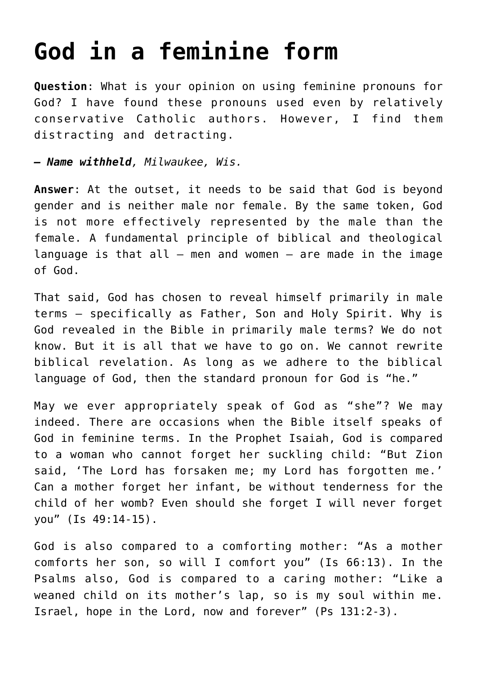## **[God in a feminine form](https://www.osvnews.com/2007/03/04/god-in-a-feminine-form/)**

**Question**: What is your opinion on using feminine pronouns for God? I have found these pronouns used even by relatively conservative Catholic authors. However, I find them distracting and detracting.

*— Name withheld, Milwaukee, Wis.*

**Answer**: At the outset, it needs to be said that God is beyond gender and is neither male nor female. By the same token, God is not more effectively represented by the male than the female. A fundamental principle of biblical and theological language is that all  $-$  men and women  $-$  are made in the image of God.

That said, God has chosen to reveal himself primarily in male terms — specifically as Father, Son and Holy Spirit. Why is God revealed in the Bible in primarily male terms? We do not know. But it is all that we have to go on. We cannot rewrite biblical revelation. As long as we adhere to the biblical language of God, then the standard pronoun for God is "he."

May we ever appropriately speak of God as "she"? We may indeed. There are occasions when the Bible itself speaks of God in feminine terms. In the Prophet Isaiah, God is compared to a woman who cannot forget her suckling child: "But Zion said, 'The Lord has forsaken me; my Lord has forgotten me.' Can a mother forget her infant, be without tenderness for the child of her womb? Even should she forget I will never forget you" (Is 49:14-15).

God is also compared to a comforting mother: "As a mother comforts her son, so will I comfort you" (Is 66:13). In the Psalms also, God is compared to a caring mother: "Like a weaned child on its mother's lap, so is my soul within me. Israel, hope in the Lord, now and forever" (Ps 131:2-3).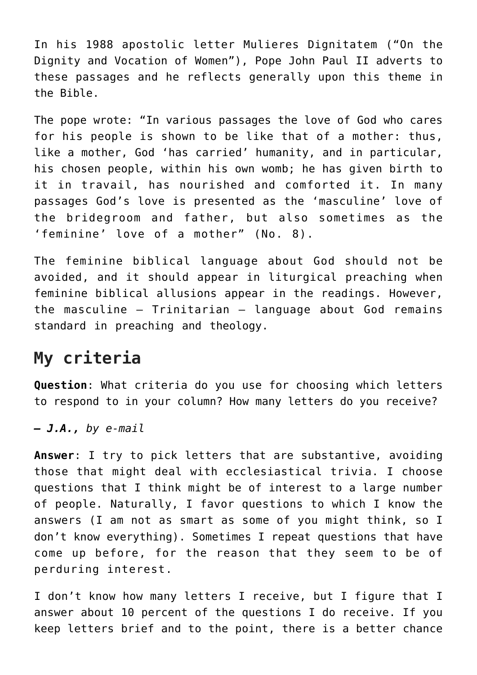In his 1988 apostolic letter Mulieres Dignitatem ("On the Dignity and Vocation of Women"), Pope John Paul II adverts to these passages and he reflects generally upon this theme in the Bible.

The pope wrote: "In various passages the love of God who cares for his people is shown to be like that of a mother: thus, like a mother, God 'has carried' humanity, and in particular, his chosen people, within his own womb; he has given birth to it in travail, has nourished and comforted it. In many passages God's love is presented as the 'masculine' love of the bridegroom and father, but also sometimes as the 'feminine' love of a mother" (No. 8).

The feminine biblical language about God should not be avoided, and it should appear in liturgical preaching when feminine biblical allusions appear in the readings. However, the masculine — Trinitarian — language about God remains standard in preaching and theology.

## **My criteria**

**Question**: What criteria do you use for choosing which letters to respond to in your column? How many letters do you receive?

*— J.A., by e-mail*

**Answer**: I try to pick letters that are substantive, avoiding those that might deal with ecclesiastical trivia. I choose questions that I think might be of interest to a large number of people. Naturally, I favor questions to which I know the answers (I am not as smart as some of you might think, so I don't know everything). Sometimes I repeat questions that have come up before, for the reason that they seem to be of perduring interest.

I don't know how many letters I receive, but I figure that I answer about 10 percent of the questions I do receive. If you keep letters brief and to the point, there is a better chance